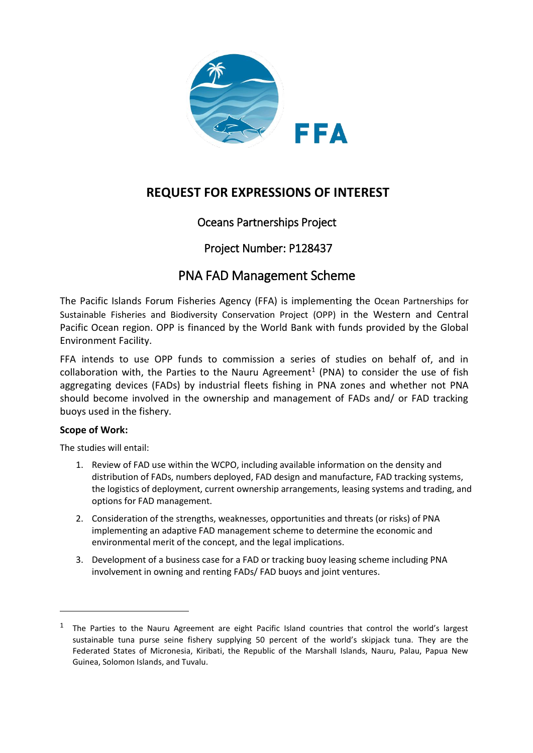

# **REQUEST FOR EXPRESSIONS OF INTEREST**

### Oceans Partnerships Project

### Project Number: P128437

## PNA FAD Management Scheme

The Pacific Islands Forum Fisheries Agency (FFA) is implementing the Ocean Partnerships for Sustainable Fisheries and Biodiversity Conservation Project (OPP) in the Western and Central Pacific Ocean region. OPP is financed by the World Bank with funds provided by the Global Environment Facility.

FFA intends to use OPP funds to commission a series of studies on behalf of, and in collaboration with, the Parties to the Nauru Agreement<sup>1</sup> (PNA) to consider the use of fish aggregating devices (FADs) by industrial fleets fishing in PNA zones and whether not PNA should become involved in the ownership and management of FADs and/ or FAD tracking buoys used in the fishery.

### **Scope of Work:**

 $\overline{a}$ 

The studies will entail:

- 1. Review of FAD use within the WCPO, including available information on the density and distribution of FADs, numbers deployed, FAD design and manufacture, FAD tracking systems, the logistics of deployment, current ownership arrangements, leasing systems and trading, and options for FAD management.
- 2. Consideration of the strengths, weaknesses, opportunities and threats (or risks) of PNA implementing an adaptive FAD management scheme to determine the economic and environmental merit of the concept, and the legal implications.
- 3. Development of a business case for a FAD or tracking buoy leasing scheme including PNA involvement in owning and renting FADs/ FAD buoys and joint ventures.

<sup>&</sup>lt;sup>1</sup> The Parties to the Nauru Agreement are eight Pacific Island countries that control the world's largest sustainable tuna purse seine fishery supplying 50 percent of the world's skipjack tuna. They are the Federated States of Micronesia, Kiribati, the Republic of the Marshall Islands, Nauru, Palau, Papua New Guinea, Solomon Islands, and Tuvalu.